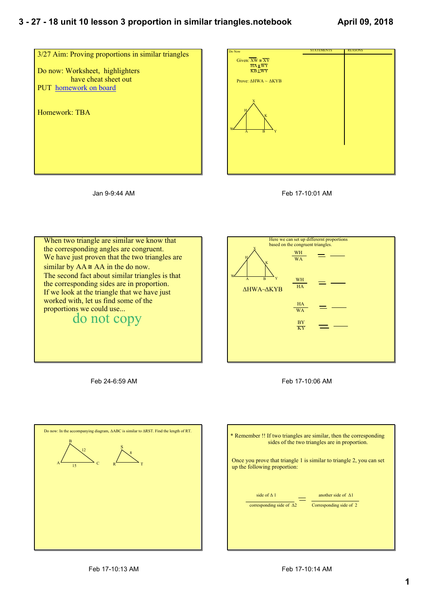## **3 27 18 unit 10 lesson 3 proportion in similar triangles.notebook**





Jan 9-9:44 AM



When two triangle are similar we know that the corresponding angles are congruent. We have just proven that the two triangles are similar by  $AA \cong AA$  in the do now. The second fact about similar triangles is that the corresponding sides are in proportion. If we look at the triangle that we have just worked with, let us find some of the proportions we could use... do not copy



Feb 17-10:06 AM

Feb 24-6:59 AM



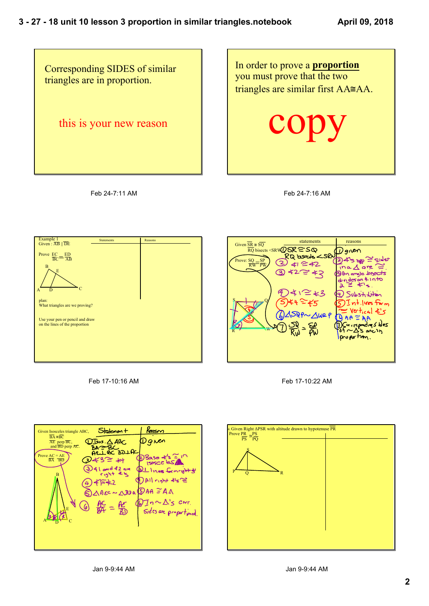

Feb 24-7:11 AM

In order to prove a **proportion** you must prove that the two triangles are similar first AA≅AA.

copy

Feb 24-7:16 AM











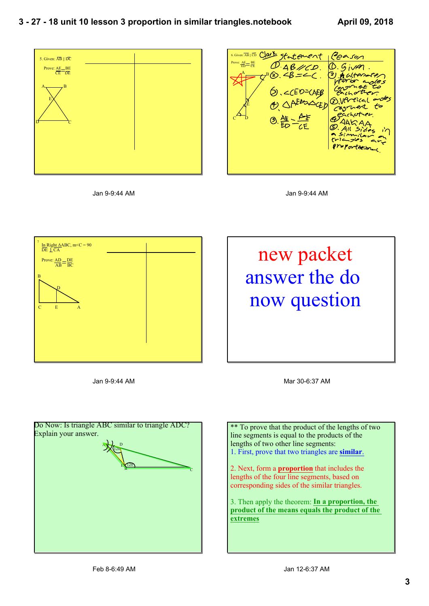

Jan 9-9:44 AM



Jan 9-9:44 AM



Jan 9-9:44 AM



Mar 30-6:37 AM

\*\* To prove that the product of the lengths of two line segments is equal to the products of the lengths of two other line segments: 1. First, prove that two triangles are **similar**.

2. Next, form a **proportion** that includes the lengths of the four line segments, based on corresponding sides of the similar triangles.

3. Then apply the theorem: **In a proportion, the product of the means equals the product of the extremes**

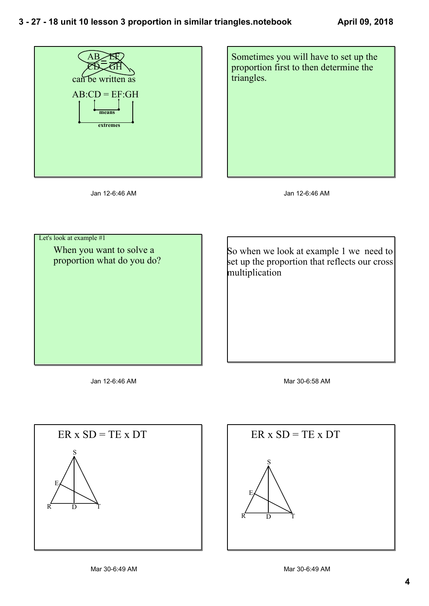



Jan 12-6:46 AM

Jan 12-6:46 AM

 Let's look at example #1 When you want to solve a proportion what do you do?

So when we look at example 1 we need to set up the proportion that reflects our cross multiplication

Jan 12-6:46 AM

Mar 30-6:58 AM



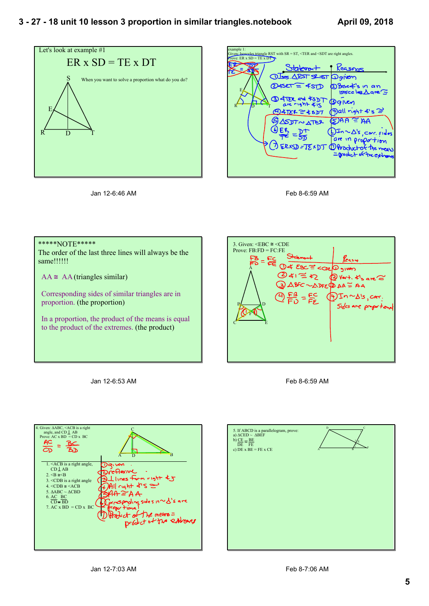







## \*\*\*\*\*NOTE\*\*\*\*\*

The order of the last three lines will always be the same!!!!!!

 $AA \cong AA$  (triangles similar)

Corresponding sides of similar triangles are in proportion. (the proportion)

In a proportion, the product of the means is equal to the product of the extremes. (the product)

Jan 12-6:53 AM



Feb 8-6:59 AM



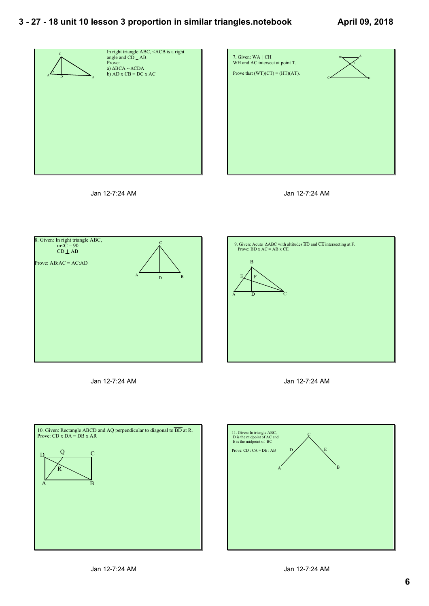## **3 27 18 unit 10 lesson 3 proportion in similar triangles.notebook**











Jan 12-7:24 AM